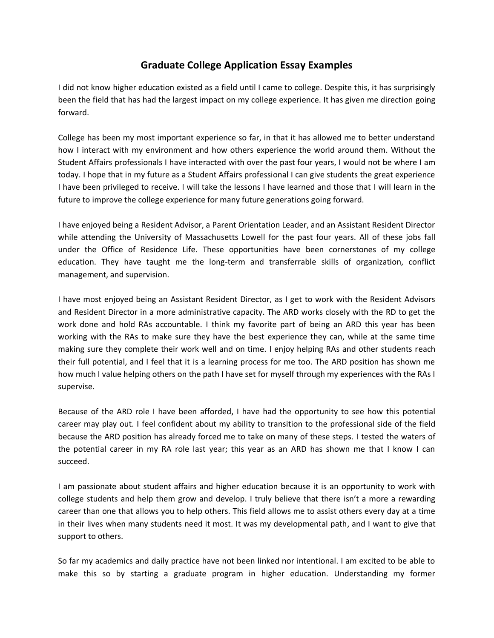## **Graduate College Application Essay Examples**

I did not know higher education existed as a field until I came to college. Despite this, it has surprisingly been the field that has had the largest impact on my college experience. It has given me direction going forward.

College has been my most important experience so far, in that it has allowed me to better understand how I interact with my environment and how others experience the world around them. Without the Student Affairs professionals I have interacted with over the past four years, I would not be where I am today. I hope that in my future as a Student Affairs professional I can give students the great experience I have been privileged to receive. I will take the lessons I have learned and those that I will learn in the future to improve the college experience for many future generations going forward.

I have enjoyed being a Resident Advisor, a Parent Orientation Leader, and an Assistant Resident Director while attending the University of Massachusetts Lowell for the past four years. All of these jobs fall under the Office of Residence Life. These opportunities have been cornerstones of my college education. They have taught me the long-term and transferrable skills of organization, conflict management, and supervision.

I have most enjoyed being an Assistant Resident Director, as I get to work with the Resident Advisors and Resident Director in a more administrative capacity. The ARD works closely with the RD to get the work done and hold RAs accountable. I think my favorite part of being an ARD this year has been working with the RAs to make sure they have the best experience they can, while at the same time making sure they complete their work well and on time. I enjoy helping RAs and other students reach their full potential, and I feel that it is a learning process for me too. The ARD position has shown me how much I value helping others on the path I have set for myself through my experiences with the RAs I supervise.

Because of the ARD role I have been afforded, I have had the opportunity to see how this potential career may play out. I feel confident about my ability to transition to the professional side of the field because the ARD position has already forced me to take on many of these steps. I tested the waters of the potential career in my RA role last year; this year as an ARD has shown me that I know I can succeed.

I am passionate about student affairs and higher education because it is an opportunity to work with college students and help them grow and develop. I truly believe that there isn't a more a rewarding career than one that allows you to help others. This field allows me to assist others every day at a time in their lives when many students need it most. It was my developmental path, and I want to give that support to others.

So far my academics and daily practice have not been linked nor intentional. I am excited to be able to make this so by starting a graduate program in higher education. Understanding my former